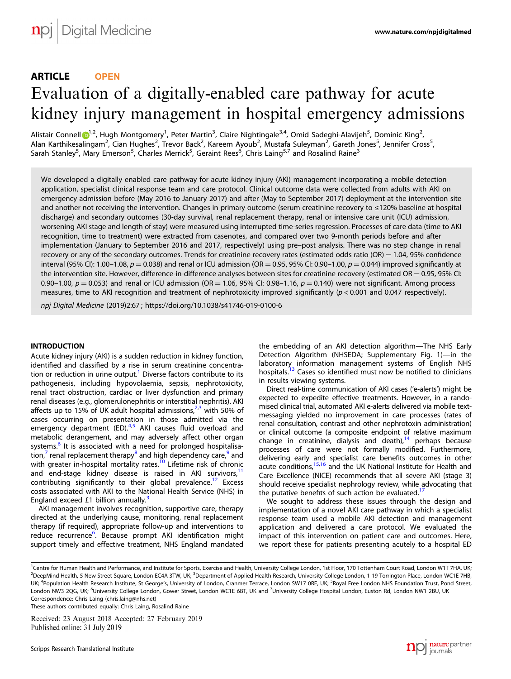# ARTICLE **OPEN** Evaluation of a digitally-enabled care pathway for acute kidney injury management in hospital emergency admissions

Alistair Connell D<sup>[1](http://orcid.org/0000-0003-0318-1049),2</sup>, Hugh Montgomery<sup>1</sup>, Peter Martin<sup>3</sup>, Claire Nightingale<sup>3,4</sup>, Omid Sadeghi-Alavijeh<sup>5</sup>, Dominic King<sup>2</sup>, Alan Karthikesalingam<sup>2</sup>, Cian Hughes<sup>2</sup>, Trevor Back<sup>2</sup>, Kareem Ayoub<sup>2</sup>, Mustafa Suleyman<sup>2</sup>, Gareth Jones<sup>5</sup>, Jennifer Cross<sup>5</sup>, Sarah Stanley<sup>5</sup>, Mary Emerson<sup>5</sup>, Charles Merrick<sup>5</sup>, Geraint Rees<sup>6</sup>, Chris Laing<sup>5,7</sup> and Rosalind Raine<sup>3</sup>

We developed a digitally enabled care pathway for acute kidney injury (AKI) management incorporating a mobile detection application, specialist clinical response team and care protocol. Clinical outcome data were collected from adults with AKI on emergency admission before (May 2016 to January 2017) and after (May to September 2017) deployment at the intervention site and another not receiving the intervention. Changes in primary outcome (serum creatinine recovery to ≤120% baseline at hospital discharge) and secondary outcomes (30-day survival, renal replacement therapy, renal or intensive care unit (ICU) admission, worsening AKI stage and length of stay) were measured using interrupted time-series regression. Processes of care data (time to AKI recognition, time to treatment) were extracted from casenotes, and compared over two 9-month periods before and after implementation (January to September 2016 and 2017, respectively) using pre–post analysis. There was no step change in renal recovery or any of the secondary outcomes. Trends for creatinine recovery rates (estimated odds ratio (OR)  $= 1.04$ , 95% confidence interval (95% CI): 1.00–1.08,  $p = 0.038$ ) and renal or ICU admission (OR = 0.95, 95% CI: 0.90–1.00,  $p = 0.044$ ) improved significantly at the intervention site. However, difference-in-difference analyses between sites for creatinine recovery (estimated  $OR = 0.95$ , 95% CI: 0.90–1.00,  $p = 0.053$ ) and renal or ICU admission (OR = 1.06, 95% CI: 0.98–1.16,  $p = 0.140$ ) were not significant. Among process measures, time to AKI recognition and treatment of nephrotoxicity improved significantly (p < 0.001 and 0.047 respectively).

npj Digital Medicine (2019) 2:67 ; https://doi.org/1[0.1038/s41746-019-0100-6](https://doi.org/10.1038/s41746-019-0100-6)

# **INTRODUCTION**

Acute kidney injury (AKI) is a sudden reduction in kidney function, identified and classified by a rise in serum creatinine concentra-tion or reduction in urine output.<sup>[1](#page-7-0)</sup> Diverse factors contribute to its pathogenesis, including hypovolaemia, sepsis, nephrotoxicity, renal tract obstruction, cardiac or liver dysfunction and primary renal diseases (e.g., glomerulonephritis or interstitial nephritis). AKI affects up to 15% of UK adult hospital admissions, $2,3$  with 50% of cases occurring on presentation in those admitted via the emergency department (ED).<sup>4,5</sup> AKI causes fluid overload and metabolic derangement, and may adversely affect other organ systems.<sup>[6](#page-8-0)</sup> It is associated with a need for prolonged hospitalisation, $\frac{7}{7}$  renal replacement therapy<sup>[8](#page-8-0)</sup> and high dependency care, $\frac{9}{7}$  $\frac{9}{7}$  $\frac{9}{7}$  and with greater in-hospital mortality rates.<sup>[10](#page-8-0)</sup> Lifetime risk of chronic and end-stage kidney disease is raised in AKI survivors, $11$ contributing significantly to their global prevalence.<sup>[12](#page-8-0)</sup> Excess costs associated with AKI to the National Health Service (NHS) in England exceed  $£1$  billion annually.<sup>[3](#page-8-0)</sup>

AKI management involves recognition, supportive care, therapy directed at the underlying cause, monitoring, renal replacement therapy (if required), appropriate follow-up and interventions to reduce recurrence<sup>[6](#page-8-0)</sup>. Because prompt AKI identification might support timely and effective treatment, NHS England mandated the embedding of an AKI detection algorithm—The NHS Early Detection Algorithm (NHSEDA; Supplementary Fig. 1)—in the laboratory information management systems of English NHS hospitals.<sup>[13](#page-8-0)</sup> Cases so identified must now be notified to clinicians in results viewing systems.

Direct real-time communication of AKI cases ('e-alerts') might be expected to expedite effective treatments. However, in a randomised clinical trial, automated AKI e-alerts delivered via mobile textmessaging yielded no improvement in care processes (rates of renal consultation, contrast and other nephrotoxin administration) or clinical outcome (a composite endpoint of relative maximum change in creatinine, dialysis and death), $14$  perhaps because processes of care were not formally modified. Furthermore, delivering early and specialist care benefits outcomes in other acute conditions,<sup>15,16</sup> and the UK National Institute for Health and Care Excellence (NICE) recommends that all severe AKI (stage 3) should receive specialist nephrology review, while advocating that the putative benefits of such action be evaluated. $17$ 

We sought to address these issues through the design and implementation of a novel AKI care pathway in which a specialist response team used a mobile AKI detection and management application and delivered a care protocol. We evaluated the impact of this intervention on patient care and outcomes. Here, we report these for patients presenting acutely to a hospital ED

<sup>1</sup>Centre for Human Health and Performance, and Institute for Sports, Exercise and Health, University College London, 1st Floor, 170 Tottenham Court Road, London W1T 7HA, UK; <sup>2</sup>DeepMind Health, 5 New Street Square, London EC4A 3TW, UK; <sup>3</sup>Department of Applied Health Research, University College London, 1-19 Torrington Place, London WC1E 7HB, UK; <sup>4</sup>Population Health Research Institute, St George's, University of London, Cranmer Terrace, London SW17 ORE, UK; <sup>5</sup>Royal Free London NHS Foundation Trust, Pond Street, London NW3 2QG, UK; <sup>6</sup>University College London, Gower Street, London WC1E 6BT, UK and <sup>7</sup>University College Hospital London, Euston Rd, London NW1 2BU, UK Correspondence: Chris Laing ([chris.laing@nhs.net](mailto:chris.laing@nhs.net))

These authors contributed equally: Chris Laing, Rosalind Raine

Received: 23 August 2018 Accepted: 27 February 2019

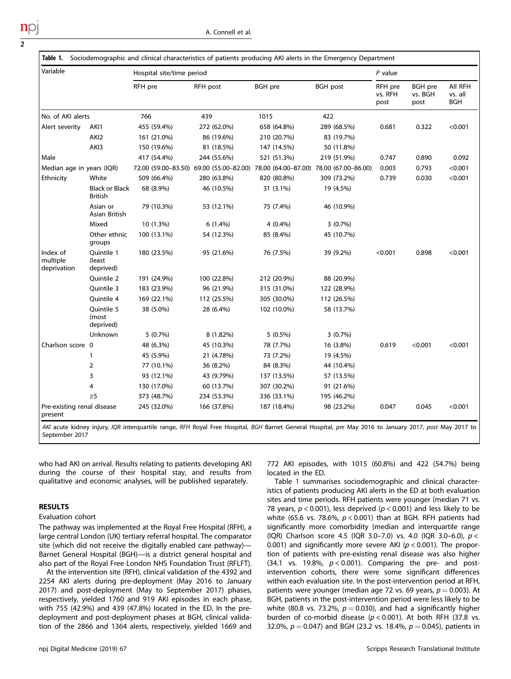| Variable                              |                                         | Hospital site/time period |                                         |                |                                         |                            | $P$ value                         |                                  |  |
|---------------------------------------|-----------------------------------------|---------------------------|-----------------------------------------|----------------|-----------------------------------------|----------------------------|-----------------------------------|----------------------------------|--|
|                                       |                                         | RFH pre                   | RFH post                                | <b>BGH</b> pre | <b>BGH</b> post                         | RFH pre<br>vs. RFH<br>post | <b>BGH</b> pre<br>vs. BGH<br>post | All RFH<br>vs. all<br><b>BGH</b> |  |
| No. of AKI alerts                     |                                         | 766                       | 439                                     | 1015           | 422                                     |                            |                                   |                                  |  |
| Alert severity                        | AKI1                                    | 455 (59.4%)               | 272 (62.0%)                             | 658 (64.8%)    | 289 (68.5%)                             | 0.681                      | 0.322                             | < 0.001                          |  |
|                                       | AKI <sub>2</sub>                        | 161 (21.0%)               | 86 (19.6%)                              | 210 (20.7%)    | 83 (19.7%)                              |                            |                                   |                                  |  |
|                                       | AKI3                                    | 150 (19.6%)               | 81 (18.5%)                              | 147 (14.5%)    | 50 (11.8%)                              |                            |                                   |                                  |  |
| Male                                  |                                         | 417 (54.4%)               | 244 (55.6%)                             | 521 (51.3%)    | 219 (51.9%)                             | 0.747                      | 0.890                             | 0.092                            |  |
| Median age in years (IQR)             |                                         |                           | 72.00 (59.00-83.50) 69.00 (55.00-82.00) |                | 78.00 (64.00-87.00) 78.00 (67.00-86.00) | 0.003                      | 0.793                             | < 0.001                          |  |
| Ethnicity                             | White                                   | 509 (66.4%)               | 280 (63.8%)                             | 820 (80.8%)    | 309 (73.2%)                             | 0.739                      | 0.030                             | < 0.001                          |  |
|                                       | <b>Black or Black</b><br><b>British</b> | 68 (8.9%)                 | 46 (10.5%)                              | 31 (3.1%)      | 19 (4.5%)                               |                            |                                   |                                  |  |
|                                       | Asian or<br>Asian British               | 79 (10.3%)                | 53 (12.1%)                              | 75 (7.4%)      | 46 (10.9%)                              |                            |                                   |                                  |  |
|                                       | Mixed                                   | 10 (1.3%)                 | $6(1.4\%)$                              | 4(0.4%)        | $3(0.7\%)$                              |                            |                                   |                                  |  |
|                                       | Other ethnic<br>groups                  | 100 (13.1%)               | 54 (12.3%)                              | 85 (8.4%)      | 45 (10.7%)                              |                            |                                   |                                  |  |
| Index of<br>multiple<br>deprivation   | Quintile 1<br>(least<br>deprived)       | 180 (23.5%)               | 95 (21.6%)                              | 76 (7.5%)      | 39 (9.2%)                               | < 0.001                    | 0.898                             | < 0.001                          |  |
|                                       | Quintile 2                              | 191 (24.9%)               | 100 (22.8%)                             | 212 (20.9%)    | 88 (20.9%)                              |                            |                                   |                                  |  |
|                                       | Quintile 3                              | 183 (23.9%)               | 96 (21.9%)                              | 315 (31.0%)    | 122 (28.9%)                             |                            |                                   |                                  |  |
|                                       | Quintile 4                              | 169 (22.1%)               | 112 (25.5%)                             | 305 (30.0%)    | 112 (26.5%)                             |                            |                                   |                                  |  |
|                                       | Quintile 5<br>(most<br>deprived)        | 38 (5.0%)                 | 28 (6.4%)                               | 102 (10.0%)    | 58 (13.7%)                              |                            |                                   |                                  |  |
|                                       | Unknown                                 | $5(0.7\%)$                | 8 (1.82%)                               | $5(0.5\%)$     | 3(0.7%)                                 |                            |                                   |                                  |  |
| Charlson score 0                      |                                         | 48 (6.3%)                 | 45 (10.3%)                              | 78 (7.7%)      | 16 (3.8%)                               | 0.619                      | < 0.001                           | < 0.001                          |  |
|                                       | 1                                       | 45 (5.9%)                 | 21 (4.78%)                              | 73 (7.2%)      | 19 (4.5%)                               |                            |                                   |                                  |  |
|                                       | 2                                       | 77 (10.1%)                | 36 (8.2%)                               | 84 (8.3%)      | 44 (10.4%)                              |                            |                                   |                                  |  |
|                                       | 3                                       | 93 (12.1%)                | 43 (9.79%)                              | 137 (13.5%)    | 57 (13.5%)                              |                            |                                   |                                  |  |
|                                       | 4                                       | 130 (17.0%)               | 60 (13.7%)                              | 307 (30.2%)    | 91 (21.6%)                              |                            |                                   |                                  |  |
|                                       | $\geq 5$                                | 373 (48.7%)               | 234 (53.3%)                             | 336 (33.1%)    | 195 (46.2%)                             |                            |                                   |                                  |  |
| Pre-existing renal disease<br>present |                                         | 245 (32.0%)               | 166 (37.8%)                             | 187 (18.4%)    | 98 (23.2%)                              | 0.047                      | 0.045                             | < 0.001                          |  |

September 2017

who had AKI on arrival. Results relating to patients developing AKI during the course of their hospital stay, and results from qualitative and economic analyses, will be published separately.

## RESULTS

# Evaluation cohort

The pathway was implemented at the Royal Free Hospital (RFH), a large central London (UK) tertiary referral hospital. The comparator site (which did not receive the digitally enabled care pathway)— Barnet General Hospital (BGH)—is a district general hospital and also part of the Royal Free London NHS Foundation Trust (RFLFT).

At the intervention site (RFH), clinical validation of the 4392 and 2254 AKI alerts during pre-deployment (May 2016 to January 2017) and post-deployment (May to September 2017) phases, respectively, yielded 1760 and 919 AKI episodes in each phase, with 755 (42.9%) and 439 (47.8%) located in the ED. In the predeployment and post-deployment phases at BGH, clinical validation of the 2866 and 1364 alerts, respectively, yielded 1669 and 772 AKI episodes, with 1015 (60.8%) and 422 (54.7%) being located in the ED.

Table 1 summarises sociodemographic and clinical characteristics of patients producing AKI alerts in the ED at both evaluation sites and time periods. RFH patients were younger (median 71 vs. 78 years,  $p < 0.001$ ), less deprived ( $p < 0.001$ ) and less likely to be white (65.6 vs. 78.6%,  $p < 0.001$ ) than at BGH. RFH patients had significantly more comorbidity (median and interquartile range (IQR) Charlson score 4.5 (IQR 3.0-7.0) vs. 4.0 (IQR 3.0-6.0),  $p <$ 0.001) and significantly more severe AKI ( $p < 0.001$ ). The proportion of patients with pre-existing renal disease was also higher (34.1 vs. 19.8%,  $p < 0.001$ ). Comparing the pre- and postintervention cohorts, there were some significant differences within each evaluation site. In the post-intervention period at RFH, patients were younger (median age 72 vs. 69 years,  $p = 0.003$ ). At BGH, patients in the post-intervention period were less likely to be white (80.8 vs. 73.2%,  $p = 0.030$ ), and had a significantly higher burden of co-morbid disease ( $p < 0.001$ ). At both RFH (37.8 vs. 32.0%,  $p = 0.047$ ) and BGH (23.2 vs. 18.4%,  $p = 0.045$ ), patients in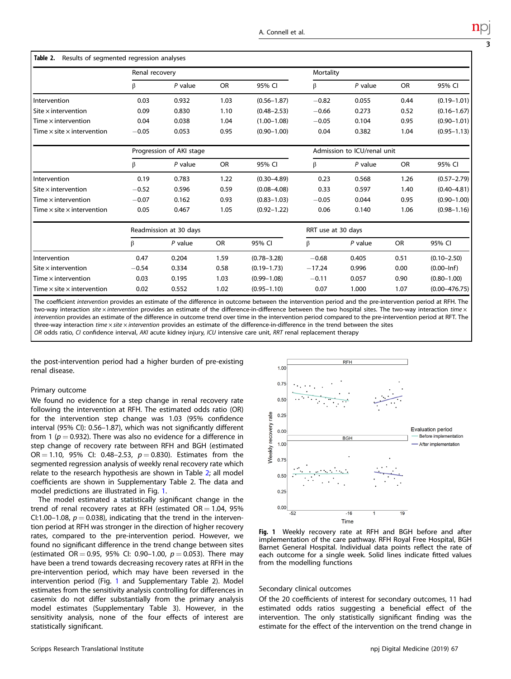3

<span id="page-2-0"></span>

| Table 2.<br>Results of segmented regression analyses |                          |           |           |                             |          |           |           |                   |
|------------------------------------------------------|--------------------------|-----------|-----------|-----------------------------|----------|-----------|-----------|-------------------|
|                                                      | Renal recovery           |           |           | Mortality                   |          |           |           |                   |
|                                                      | β                        | $P$ value | <b>OR</b> | 95% CI                      | β        | $P$ value | <b>OR</b> | 95% CI            |
| Intervention                                         | 0.03                     | 0.932     | 1.03      | $(0.56 - 1.87)$             | $-0.82$  | 0.055     | 0.44      | $(0.19 - 1.01)$   |
| Site $\times$ intervention                           | 0.09                     | 0.830     | 1.10      | $(0.48 - 2.53)$             | $-0.66$  | 0.273     | 0.52      | $(0.16 - 1.67)$   |
| Time $\times$ intervention                           | 0.04                     | 0.038     | 1.04      | $(1.00 - 1.08)$             | $-0.05$  | 0.104     | 0.95      | $(0.90 - 1.01)$   |
| Time $\times$ site $\times$ intervention             | $-0.05$                  | 0.053     | 0.95      | $(0.90 - 1.00)$             | 0.04     | 0.382     | 1.04      | $(0.95 - 1.13)$   |
|                                                      | Progression of AKI stage |           |           | Admission to ICU/renal unit |          |           |           |                   |
|                                                      | β                        | $P$ value | <b>OR</b> | 95% CI                      | β        | $P$ value | <b>OR</b> | 95% CI            |
| Intervention                                         | 0.19                     | 0.783     | 1.22      | $(0.30 - 4.89)$             | 0.23     | 0.568     | 1.26      | $(0.57 - 2.79)$   |
| Site $\times$ intervention                           | $-0.52$                  | 0.596     | 0.59      | $(0.08 - 4.08)$             | 0.33     | 0.597     | 1.40      | $(0.40 - 4.81)$   |
| Time $\times$ intervention                           | $-0.07$                  | 0.162     | 0.93      | $(0.83 - 1.03)$             | $-0.05$  | 0.044     | 0.95      | $(0.90 - 1.00)$   |
| Time $\times$ site $\times$ intervention             | 0.05                     | 0.467     | 1.05      | $(0.92 - 1.22)$             | 0.06     | 0.140     | 1.06      | $(0.98 - 1.16)$   |
|                                                      | Readmission at 30 days   |           |           | RRT use at 30 days          |          |           |           |                   |
|                                                      | β                        | $P$ value | OR        | 95% CI                      | β        | $P$ value | <b>OR</b> | 95% CI            |
| Intervention                                         | 0.47                     | 0.204     | 1.59      | $(0.78 - 3.28)$             | $-0.68$  | 0.405     | 0.51      | $(0.10 - 2.50)$   |
| Site $\times$ intervention                           | $-0.54$                  | 0.334     | 0.58      | $(0.19 - 1.73)$             | $-17.24$ | 0.996     | 0.00      | $(0.00 - lnf)$    |
| Time $\times$ intervention                           | 0.03                     | 0.195     | 1.03      | $(0.99 - 1.08)$             | $-0.11$  | 0.057     | 0.90      | $(0.80 - 1.00)$   |
| Time $\times$ site $\times$ intervention             | 0.02                     | 0.552     | 1.02      | $(0.95 - 1.10)$             | 0.07     | 1.000     | 1.07      | $(0.00 - 476.75)$ |

The coefficient intervention provides an estimate of the difference in outcome between the intervention period and the pre-intervention period at RFH. The two-way interaction site x intervention provides an estimate of the difference-in-difference between the two hospital sites. The two-way interaction time x intervention provides an estimate of the difference in outcome trend over time in the intervention period compared to the pre-intervention period at RFT. The three-way interaction time  $\times$  site  $\times$  intervention provides an estimate of the difference-in-difference in the trend between the sites OR odds ratio, CI confidence interval, AKI acute kidney injury, ICU intensive care unit, RRT renal replacement therapy

the post-intervention period had a higher burden of pre-existing renal disease.

#### Primary outcome

We found no evidence for a step change in renal recovery rate following the intervention at RFH. The estimated odds ratio (OR) for the intervention step change was 1.03 (95% confidence interval (95% CI): 0.56–1.87), which was not significantly different from 1 ( $p = 0.932$ ). There was also no evidence for a difference in step change of recovery rate between RFH and BGH (estimated OR = 1.10, 95% CI: 0.48-2.53,  $p = 0.830$ ). Estimates from the segmented regression analysis of weekly renal recovery rate which relate to the research hypothesis are shown in Table 2; all model coefficients are shown in Supplementary Table 2. The data and model predictions are illustrated in Fig. 1.

The model estimated a statistically significant change in the trend of renal recovery rates at RFH (estimated  $OR = 1.04$ , 95% CI:1.00–1.08,  $p = 0.038$ ), indicating that the trend in the intervention period at RFH was stronger in the direction of higher recovery rates, compared to the pre-intervention period. However, we found no significant difference in the trend change between sites (estimated OR = 0.95, 95% CI: 0.90-1.00,  $p = 0.053$ ). There may have been a trend towards decreasing recovery rates at RFH in the pre-intervention period, which may have been reversed in the intervention period (Fig. 1 and Supplementary Table 2). Model estimates from the sensitivity analysis controlling for differences in casemix do not differ substantially from the primary analysis model estimates (Supplementary Table 3). However, in the sensitivity analysis, none of the four effects of interest are statistically significant.



Fig. 1 Weekly recovery rate at RFH and BGH before and after implementation of the care pathway. RFH Royal Free Hospital, BGH Barnet General Hospital. Individual data points reflect the rate of each outcome for a single week. Solid lines indicate fitted values from the modelling functions

Secondary clinical outcomes

Of the 20 coefficients of interest for secondary outcomes, 11 had estimated odds ratios suggesting a beneficial effect of the intervention. The only statistically significant finding was the estimate for the effect of the intervention on the trend change in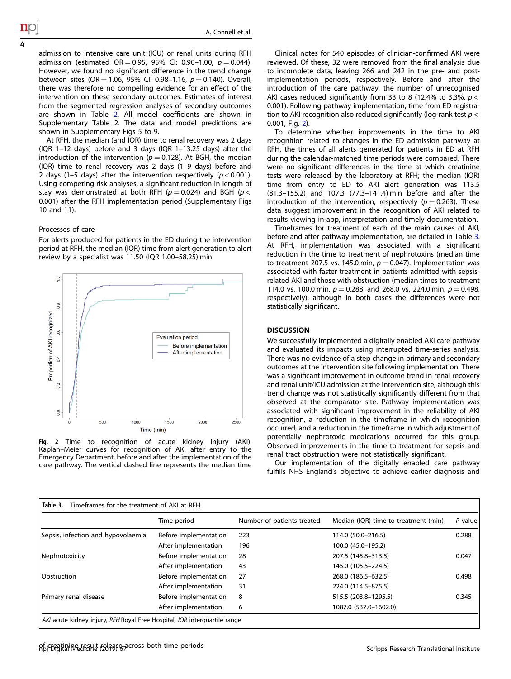admission to intensive care unit (ICU) or renal units during RFH admission (estimated OR = 0.95, 95% CI: 0.90-1.00,  $p = 0.044$ ). However, we found no significant difference in the trend change between sites (OR = 1.06, 95% CI: 0.98-1.16,  $p = 0.140$ ). Overall, there was therefore no compelling evidence for an effect of the intervention on these secondary outcomes. Estimates of interest from the segmented regression analyses of secondary outcomes are shown in Table [2](#page-2-0). All model coefficients are shown in Supplementary Table 2. The data and model predictions are shown in Supplementary Figs 5 to 9.

At RFH, the median (and IQR) time to renal recovery was 2 days (IQR 1–12 days) before and 3 days (IQR 1–13.25 days) after the introduction of the intervention ( $p = 0.128$ ). At BGH, the median (IQR) time to renal recovery was 2 days (1–9 days) before and 2 days (1–5 days) after the intervention respectively ( $p < 0.001$ ). Using competing risk analyses, a significant reduction in length of stay was demonstrated at both RFH ( $p = 0.024$ ) and BGH ( $p <$ 0.001) after the RFH implementation period (Supplementary Figs 10 and 11).

#### Processes of care

For alerts produced for patients in the ED during the intervention period at RFH, the median (IQR) time from alert generation to alert review by a specialist was 11.50 (IQR 1.00–58.25) min.



Fig. 2 Time to recognition of acute kidney injury (AKI). Kaplan–Meier curves for recognition of AKI after entry to the Emergency Department, before and after the implementation of the care pathway. The vertical dashed line represents the median time

Clinical notes for 540 episodes of clinician-confirmed AKI were reviewed. Of these, 32 were removed from the final analysis due to incomplete data, leaving 266 and 242 in the pre- and postimplementation periods, respectively. Before and after the introduction of the care pathway, the number of unrecognised AKI cases reduced significantly from 33 to 8 (12.4% to 3.3%,  $p <$ 0.001). Following pathway implementation, time from ED registration to AKI recognition also reduced significantly (log-rank test  $p <$ 0.001, Fig. 2).

To determine whether improvements in the time to AKI recognition related to changes in the ED admission pathway at RFH, the times of all alerts generated for patients in ED at RFH during the calendar-matched time periods were compared. There were no significant differences in the time at which creatinine tests were released by the laboratory at RFH; the median (IQR) time from entry to ED to AKI alert generation was 113.5 (81.3–155.2) and 107.3 (77.3–141.4) min before and after the introduction of the intervention, respectively ( $p = 0.263$ ). These data suggest improvement in the recognition of AKI related to results viewing in-app, interpretation and timely documentation.

Timeframes for treatment of each of the main causes of AKI, before and after pathway implementation, are detailed in Table 3. At RFH, implementation was associated with a significant reduction in the time to treatment of nephrotoxins (median time to treatment 207.5 vs. 145.0 min,  $p = 0.047$ ). Implementation was associated with faster treatment in patients admitted with sepsisrelated AKI and those with obstruction (median times to treatment 114.0 vs. 100.0 min,  $p = 0.288$ , and 268.0 vs. 224.0 min,  $p = 0.498$ , respectively), although in both cases the differences were not statistically significant.

#### **DISCUSSION**

We successfully implemented a digitally enabled AKI care pathway and evaluated its impacts using interrupted time-series analysis. There was no evidence of a step change in primary and secondary outcomes at the intervention site following implementation. There was a significant improvement in outcome trend in renal recovery and renal unit/ICU admission at the intervention site, although this trend change was not statistically significantly different from that observed at the comparator site. Pathway implementation was associated with significant improvement in the reliability of AKI recognition, a reduction in the timeframe in which recognition occurred, and a reduction in the timeframe in which adjustment of potentially nephrotoxic medications occurred for this group. Observed improvements in the time to treatment for sepsis and renal tract obstruction were not statistically significant.

Our implementation of the digitally enabled care pathway fulfills NHS England's objective to achieve earlier diagnosis and

|                                    | Time period           | Number of patients treated | Median (IQR) time to treatment (min) | $P$ value |
|------------------------------------|-----------------------|----------------------------|--------------------------------------|-----------|
| Sepsis, infection and hypovolaemia | Before implementation | 223                        | 114.0 (50.0-216.5)                   | 0.288     |
|                                    | After implementation  | 196                        | 100.0 (45.0-195.2)                   |           |
| Nephrotoxicity                     | Before implementation | 28                         | 207.5 (145.8-313.5)                  | 0.047     |
|                                    | After implementation  | 43                         | 145.0 (105.5-224.5)                  |           |
| l Obstruction                      | Before implementation | 27                         | 268.0 (186.5-632.5)                  | 0.498     |
|                                    | After implementation  | 31                         | 224.0 (114.5-875.5)                  |           |
| Primary renal disease              | Before implementation | 8                          | 515.5 (203.8-1295.5)                 | 0.345     |
|                                    | After implementation  | 6                          | 1087.0 (537.0-1602.0)                |           |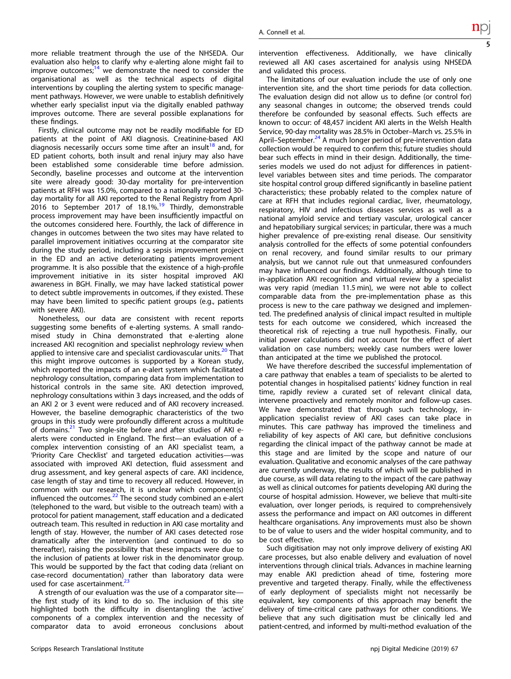more reliable treatment through the use of the NHSEDA. Our evaluation also helps to clarify why e-alerting alone might fail to improve outcomes; $14$  we demonstrate the need to consider the organisational as well as the technical aspects of digital interventions by coupling the alerting system to specific management pathways. However, we were unable to establish definitively whether early specialist input via the digitally enabled pathway improves outcome. There are several possible explanations for these findings.

Firstly, clinical outcome may not be readily modifiable for ED patients at the point of AKI diagnosis. Creatinine-based AKI diagnosis necessarily occurs some time after an insult<sup>[18](#page-8-0)</sup> and, for ED patient cohorts, both insult and renal injury may also have been established some considerable time before admission. Secondly, baseline processes and outcome at the intervention site were already good: 30-day mortality for pre-intervention patients at RFH was 15.0%, compared to a nationally reported 30 day mortality for all AKI reported to the Renal Registry from April 2016 to September 2017 of 18.1%.<sup>[19](#page-8-0)</sup> Thirdly, demonstrable process improvement may have been insufficiently impactful on the outcomes considered here. Fourthly, the lack of difference in changes in outcomes between the two sites may have related to parallel improvement initiatives occurring at the comparator site during the study period, including a sepsis improvement project in the ED and an active deteriorating patients improvement programme. It is also possible that the existence of a high-profile improvement initiative in its sister hospital improved AKI awareness in BGH. Finally, we may have lacked statistical power to detect subtle improvements in outcomes, if they existed. These may have been limited to specific patient groups (e.g., patients with severe AKI).

Nonetheless, our data are consistent with recent reports suggesting some benefits of e-alerting systems. A small randomised study in China demonstrated that e-alerting alone increased AKI recognition and specialist nephrology review when applied to intensive care and specialist cardiovascular units.<sup>[20](#page-8-0)</sup> That this might improve outcomes is supported by a Korean study, which reported the impacts of an e-alert system which facilitated nephrology consultation, comparing data from implementation to historical controls in the same site. AKI detection improved, nephrology consultations within 3 days increased, and the odds of an AKI 2 or 3 event were reduced and of AKI recovery increased. However, the baseline demographic characteristics of the two groups in this study were profoundly different across a multitude of domains.<sup>21</sup> Two single-site before and after studies of AKI ealerts were conducted in England. The first—an evaluation of a complex intervention consisting of an AKI specialist team, a 'Priority Care Checklist' and targeted education activities—was associated with improved AKI detection, fluid assessment and drug assessment, and key general aspects of care. AKI incidence, case length of stay and time to recovery all reduced. However, in common with our research, it is unclear which component(s) influenced the outcomes. $^{22}$  $^{22}$  $^{22}$  The second study combined an e-alert (telephoned to the ward, but visible to the outreach team) with a protocol for patient management, staff education and a dedicated outreach team. This resulted in reduction in AKI case mortality and length of stay. However, the number of AKI cases detected rose dramatically after the intervention (and continued to do so thereafter), raising the possibility that these impacts were due to the inclusion of patients at lower risk in the denominator group. This would be supported by the fact that coding data (reliant on case-record documentation) rather than laboratory data were used for case ascertainment.<sup>2</sup>

A strength of our evaluation was the use of a comparator site the first study of its kind to do so. The inclusion of this site highlighted both the difficulty in disentangling the 'active' components of a complex intervention and the necessity of comparator data to avoid erroneous conclusions about intervention effectiveness. Additionally, we have clinically reviewed all AKI cases ascertained for analysis using NHSEDA and validated this process.

The limitations of our evaluation include the use of only one intervention site, and the short time periods for data collection. The evaluation design did not allow us to define (or control for) any seasonal changes in outcome; the observed trends could therefore be confounded by seasonal effects. Such effects are known to occur: of 48,457 incident AKI alerts in the Welsh Health Service, 90-day mortality was 28.5% in October–March vs. 25.5% in April–September.<sup>[24](#page-8-0)</sup> A much longer period of pre-intervention data collection would be required to confirm this; future studies should bear such effects in mind in their design. Additionally, the timeseries models we used do not adjust for differences in patientlevel variables between sites and time periods. The comparator site hospital control group differed significantly in baseline patient characteristics; these probably related to the complex nature of care at RFH that includes regional cardiac, liver, rheumatology, respiratory, HIV and infectious diseases services as well as a national amyloid service and tertiary vascular, urological cancer and hepatobiliary surgical services; in particular, there was a much higher prevalence of pre-existing renal disease. Our sensitivity analysis controlled for the effects of some potential confounders on renal recovery, and found similar results to our primary analysis, but we cannot rule out that unmeasured confounders may have influenced our findings. Additionally, although time to in-application AKI recognition and virtual review by a specialist was very rapid (median 11.5 min), we were not able to collect comparable data from the pre-implementation phase as this process is new to the care pathway we designed and implemented. The predefined analysis of clinical impact resulted in multiple tests for each outcome we considered, which increased the theoretical risk of rejecting a true null hypothesis. Finally, our initial power calculations did not account for the effect of alert validation on case numbers; weekly case numbers were lower than anticipated at the time we published the protocol.

We have therefore described the successful implementation of a care pathway that enables a team of specialists to be alerted to potential changes in hospitalised patients' kidney function in real time, rapidly review a curated set of relevant clinical data, intervene proactively and remotely monitor and follow-up cases. We have demonstrated that through such technology, inapplication specialist review of AKI cases can take place in minutes. This care pathway has improved the timeliness and reliability of key aspects of AKI care, but definitive conclusions regarding the clinical impact of the pathway cannot be made at this stage and are limited by the scope and nature of our evaluation. Qualitative and economic analyses of the care pathway are currently underway, the results of which will be published in due course, as will data relating to the impact of the care pathway as well as clinical outcomes for patients developing AKI during the course of hospital admission. However, we believe that multi-site evaluation, over longer periods, is required to comprehensively assess the performance and impact on AKI outcomes in different healthcare organisations. Any improvements must also be shown to be of value to users and the wider hospital community, and to be cost effective.

Such digitisation may not only improve delivery of existing AKI care processes, but also enable delivery and evaluation of novel interventions through clinical trials. Advances in machine learning may enable AKI prediction ahead of time, fostering more preventive and targeted therapy. Finally, while the effectiveness of early deployment of specialists might not necessarily be equivalent, key components of this approach may benefit the delivery of time-critical care pathways for other conditions. We believe that any such digitisation must be clinically led and patient-centred, and informed by multi-method evaluation of the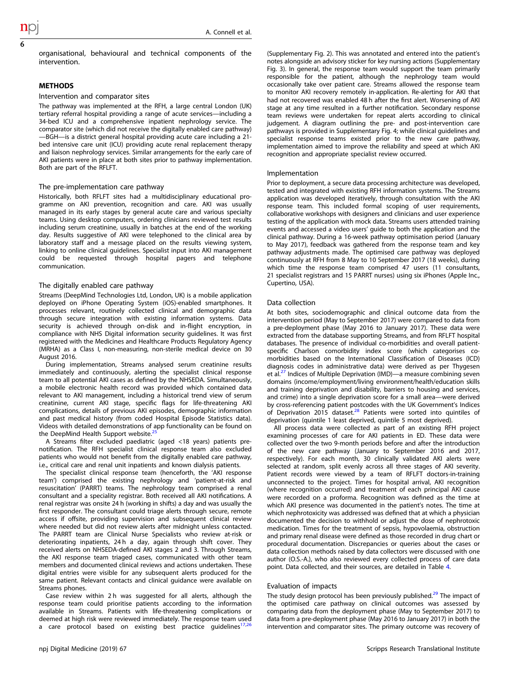organisational, behavioural and technical components of the intervention.

# **METHODS**

#### Intervention and comparator sites

The pathway was implemented at the RFH, a large central London (UK) tertiary referral hospital providing a range of acute services—including a 34-bed ICU and a comprehensive inpatient nephrology service. The comparator site (which did not receive the digitally enabled care pathway) —BGH—is a district general hospital providing acute care including a 21 bed intensive care unit (ICU) providing acute renal replacement therapy and liaison nephrology services. Similar arrangements for the early care of AKI patients were in place at both sites prior to pathway implementation. Both are part of the RFLFT.

#### The pre-implementation care pathway

Historically, both RFLFT sites had a multidisciplinary educational programme on AKI prevention, recognition and care. AKI was usually managed in its early stages by general acute care and various specialty teams. Using desktop computers, ordering clinicians reviewed test results including serum creatinine, usually in batches at the end of the working day. Results suggestive of AKI were telephoned to the clinical area by laboratory staff and a message placed on the results viewing system, linking to online clinical guidelines. Specialist input into AKI management could be requested through hospital pagers and telephone communication.

#### The digitally enabled care pathway

Streams (DeepMind Technologies Ltd, London, UK) is a mobile application deployed on iPhone Operating System (iOS)-enabled smartphones. It processes relevant, routinely collected clinical and demographic data through secure integration with existing information systems. Data security is achieved through on-disk and in-flight encryption, in compliance with NHS Digital information security guidelines. It was first registered with the Medicines and Healthcare Products Regulatory Agency (MRHA) as a Class I, non-measuring, non-sterile medical device on 30 August 2016.

During implementation, Streams analysed serum creatinine results immediately and continuously, alerting the specialist clinical response team to all potential AKI cases as defined by the NHSEDA. Simultaneously, a mobile electronic health record was provided which contained data relevant to AKI management, including a historical trend view of serum creatinine, current AKI stage, specific flags for life-threatening AKI complications, details of previous AKI episodes, demographic information and past medical history (from coded Hospital Episode Statistics data). Videos with detailed demonstrations of app functionality can be found on the DeepMind Health Support website.<sup>2</sup>

A Streams filter excluded paediatric (aged <18 years) patients prenotification. The RFH specialist clinical response team also excluded patients who would not benefit from the digitally enabled care pathway, i.e., critical care and renal unit inpatients and known dialysis patients.

The specialist clinical response team (henceforth, the 'AKI response team') comprised the existing nephrology and 'patient-at-risk and resuscitation' (PARRT) teams. The nephrology team comprised a renal consultant and a speciality registrar. Both received all AKI notifications. A renal registrar was onsite 24 h (working in shifts) a day and was usually the first responder. The consultant could triage alerts through secure, remote access if offsite, providing supervision and subsequent clinical review where needed but did not review alerts after midnight unless contacted. The PARRT team are Clinical Nurse Specialists who review at-risk or deteriorating inpatients, 24 h a day, again through shift cover. They received alerts on NHSEDA-defined AKI stages 2 and 3. Through Streams, the AKI response team triaged cases, communicated with other team members and documented clinical reviews and actions undertaken. These digital entries were visible for any subsequent alerts produced for the same patient. Relevant contacts and clinical guidance were available on Streams phones.

Case review within 2 h was suggested for all alerts, although the response team could prioritise patients according to the information available in Streams. Patients with life-threatening complications or deemed at high risk were reviewed immediately. The response team used a care protocol based on existing best practice guidelines<sup>17,26</sup>

(Supplementary Fig. 2). This was annotated and entered into the patient's notes alongside an advisory sticker for key nursing actions (Supplementary Fig. 3). In general, the response team would support the team primarily responsible for the patient, although the nephrology team would occasionally take over patient care. Streams allowed the response team to monitor AKI recovery remotely in-application. Re-alerting for AKI that had not recovered was enabled 48 h after the first alert. Worsening of AKI stage at any time resulted in a further notification. Secondary response team reviews were undertaken for repeat alerts according to clinical judgement. A diagram outlining the pre- and post-intervention care pathways is provided in Supplementary Fig. 4; while clinical guidelines and specialist response teams existed prior to the new care pathway, implementation aimed to improve the reliability and speed at which AKI recognition and appropriate specialist review occurred.

#### Implementation

Prior to deployment, a secure data processing architecture was developed, tested and integrated with existing RFH information systems. The Streams application was developed iteratively, through consultation with the AKI response team. This included formal scoping of user requirements, collaborative workshops with designers and clinicians and user experience testing of the application with mock data. Streams users attended training events and accessed a video users' guide to both the application and the clinical pathway. During a 16-week pathway optimisation period (January to May 2017), feedback was gathered from the response team and key pathway adjustments made. The optimised care pathway was deployed continuously at RFH from 8 May to 10 September 2017 (18 weeks), during which time the response team comprised 47 users (11 consultants, 21 specialist registrars and 15 PARRT nurses) using six iPhones (Apple Inc., Cupertino, USA).

#### Data collection

At both sites, sociodemographic and clinical outcome data from the intervention period (May to September 2017) were compared to data from a pre-deployment phase (May 2016 to January 2017). These data were extracted from the database supporting Streams, and from RFLFT hospital databases. The presence of individual co-morbidities and overall patientspecific Charlson comorbidity index score (which categorises comorbidities based on the International Classification of Diseases (ICD) diagnosis codes in administrative data) were derived as per Thygesen et al.<sup>27</sup> Indices of Multiple Deprivation (IMD)—a measure combining seven domains (income/employment/living environment/health/education skills and training deprivation and disability, barriers to housing and services, and crime) into a single deprivation score for a small area—were derived by cross-referencing patient postcodes with the UK Government's Indices of Deprivation 2015 dataset.<sup>28</sup> Patients were sorted into quintiles of deprivation (quintile 1 least deprived, quintile 5 most deprived).

All process data were collected as part of an existing RFH project examining processes of care for AKI patients in ED. These data were collected over the two 9-month periods before and after the introduction of the new care pathway (January to September 2016 and 2017, respectively). For each month, 30 clinically validated AKI alerts were selected at random, split evenly across all three stages of AKI severity. Patient records were viewed by a team of RFLFT doctors-in-training unconnected to the project. Times for hospital arrival, AKI recognition (where recognition occurred) and treatment of each principal AKI cause were recorded on a proforma. Recognition was defined as the time at which AKI presence was documented in the patient's notes. The time at which nephrotoxicity was addressed was defined that at which a physician documented the decision to withhold or adjust the dose of nephrotoxic medication. Times for the treatment of sepsis, hypovolaemia, obstruction and primary renal disease were defined as those recorded in drug chart or procedural documentation. Discrepancies or queries about the cases or data collection methods raised by data collectors were discussed with one author (O.S.-A.), who also reviewed every collected process of care data point. Data collected, and their sources, are detailed in Table [4](#page-6-0).

#### Evaluation of impacts

The study design protocol has been previously published.<sup>[29](#page-8-0)</sup> The impact of the optimised care pathway on clinical outcomes was assessed by comparing data from the deployment phase (May to September 2017) to data from a pre-deployment phase (May 2016 to January 2017) in both the intervention and comparator sites. The primary outcome was recovery of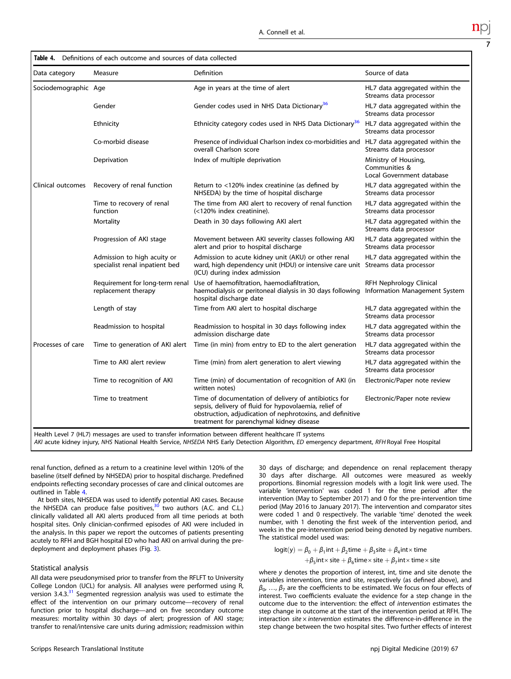|  |  | ٧ |  |
|--|--|---|--|
|  |  |   |  |

7

<span id="page-6-0"></span>

| Data category        | Measure                                                       | <b>Definition</b>                                                                                                                                                                                                      | Source of data                                                     |  |
|----------------------|---------------------------------------------------------------|------------------------------------------------------------------------------------------------------------------------------------------------------------------------------------------------------------------------|--------------------------------------------------------------------|--|
| Sociodemographic Age |                                                               | Age in years at the time of alert                                                                                                                                                                                      | HL7 data aggregated within the<br>Streams data processor           |  |
|                      | Gender                                                        | Gender codes used in NHS Data Dictionary <sup>36</sup>                                                                                                                                                                 | HL7 data aggregated within the<br>Streams data processor           |  |
|                      | Ethnicity                                                     | Ethnicity category codes used in NHS Data Dictionary <sup>36</sup>                                                                                                                                                     | HL7 data aggregated within the<br>Streams data processor           |  |
|                      | Co-morbid disease                                             | Presence of individual Charlson index co-morbidities and<br>overall Charlson score                                                                                                                                     | HL7 data aggregated within the<br>Streams data processor           |  |
|                      | Deprivation                                                   | Index of multiple deprivation                                                                                                                                                                                          | Ministry of Housing,<br>Communities &<br>Local Government database |  |
| Clinical outcomes    | Recovery of renal function                                    | Return to <120% index creatinine (as defined by<br>NHSEDA) by the time of hospital discharge                                                                                                                           | HL7 data aggregated within the<br>Streams data processor           |  |
|                      | Time to recovery of renal<br>function                         | The time from AKI alert to recovery of renal function<br>(<120% index creatinine).                                                                                                                                     | HL7 data aggregated within the<br>Streams data processor           |  |
|                      | Mortality                                                     | Death in 30 days following AKI alert                                                                                                                                                                                   | HL7 data aggregated within the<br>Streams data processor           |  |
|                      | Progression of AKI stage                                      | Movement between AKI severity classes following AKI<br>alert and prior to hospital discharge                                                                                                                           | HL7 data aggregated within the<br>Streams data processor           |  |
|                      | Admission to high acuity or<br>specialist renal inpatient bed | Admission to acute kidney unit (AKU) or other renal<br>ward, high dependency unit (HDU) or intensive care unit Streams data processor<br>(ICU) during index admission                                                  | HL7 data aggregated within the                                     |  |
|                      | Requirement for long-term renal<br>replacement therapy        | Use of haemofiltration, haemodiafiltration,<br>haemodialysis or peritoneal dialysis in 30 days following<br>hospital discharge date                                                                                    | <b>RFH Nephrology Clinical</b><br>Information Management System    |  |
|                      | Length of stay                                                | Time from AKI alert to hospital discharge                                                                                                                                                                              | HL7 data aggregated within the<br>Streams data processor           |  |
|                      | Readmission to hospital                                       | Readmission to hospital in 30 days following index<br>admission discharge date                                                                                                                                         | HL7 data aggregated within the<br>Streams data processor           |  |
| Processes of care    | Time to generation of AKI alert                               | Time (in min) from entry to ED to the alert generation                                                                                                                                                                 | HL7 data aggregated within the<br>Streams data processor           |  |
|                      | Time to AKI alert review                                      | Time (min) from alert generation to alert viewing                                                                                                                                                                      | HL7 data aggregated within the<br>Streams data processor           |  |
|                      | Time to recognition of AKI                                    | Time (min) of documentation of recognition of AKI (in<br>written notes)                                                                                                                                                | Electronic/Paper note review                                       |  |
|                      | Time to treatment                                             | Time of documentation of delivery of antibiotics for<br>sepsis, delivery of fluid for hypovolaemia, relief of<br>obstruction, adjudication of nephrotoxins, and definitive<br>treatment for parenchymal kidney disease | Electronic/Paper note review                                       |  |

AKI acute kidney injury, NHS National Health Service, NHSEDA NHS Early Detection Algorithm, ED emergency department, RFH Royal Free Hospital

renal function, defined as a return to a creatinine level within 120% of the baseline (itself defined by NHSEDA) prior to hospital discharge. Predefined endpoints reflecting secondary processes of care and clinical outcomes are outlined in Table 4.

At both sites, NHSEDA was used to identify potential AKI cases. Because the NHSEDA can produce false positives, $30$  two authors (A.C. and C.L.) clinically validated all AKI alerts produced from all time periods at both hospital sites. Only clinician-confirmed episodes of AKI were included in the analysis. In this paper we report the outcomes of patients presenting acutely to RFH and BGH hospital ED who had AKI on arrival during the predeployment and deployment phases (Fig. [3](#page-7-0)).

# Statistical analysis

All data were pseudonymised prior to transfer from the RFLFT to University College London (UCL) for analysis. All analyses were performed using R, version  $3.4.3^{31}$  $3.4.3^{31}$  $3.4.3^{31}$  Segmented regression analysis was used to estimate the effect of the intervention on our primary outcome—recovery of renal function prior to hospital discharge—and on five secondary outcome measures: mortality within 30 days of alert; progression of AKI stage; transfer to renal/intensive care units during admission; readmission within 30 days of discharge; and dependence on renal replacement therapy 30 days after discharge. All outcomes were measured as weekly proportions. Binomial regression models with a logit link were used. The variable 'intervention' was coded 1 for the time period after the intervention (May to September 2017) and 0 for the pre-intervention time period (May 2016 to January 2017). The intervention and comparator sites were coded 1 and 0 respectively. The variable 'time' denoted the week number, with 1 denoting the first week of the intervention period, and weeks in the pre-intervention period being denoted by negative numbers. The statistical model used was:

$$
logit(y) = \beta_0 + \beta_1 int + \beta_2 time + \beta_3 site + \beta_4 int \times time
$$
  
+
$$
\beta_5 int \times site + \beta_6 time \times site + \beta_7 int \times time \times site
$$

where y denotes the proportion of interest, int, time and site denote the variables intervention, time and site, respectively (as defined above), and  $\beta_0$ , ...,  $\beta_7$  are the coefficients to be estimated. We focus on four effects of interest. Two coefficients evaluate the evidence for a step change in the outcome due to the intervention: the effect of intervention estimates the step change in outcome at the start of the intervention period at RFH. The interaction site  $\times$  intervention estimates the difference-in-difference in the step change between the two hospital sites. Two further effects of interest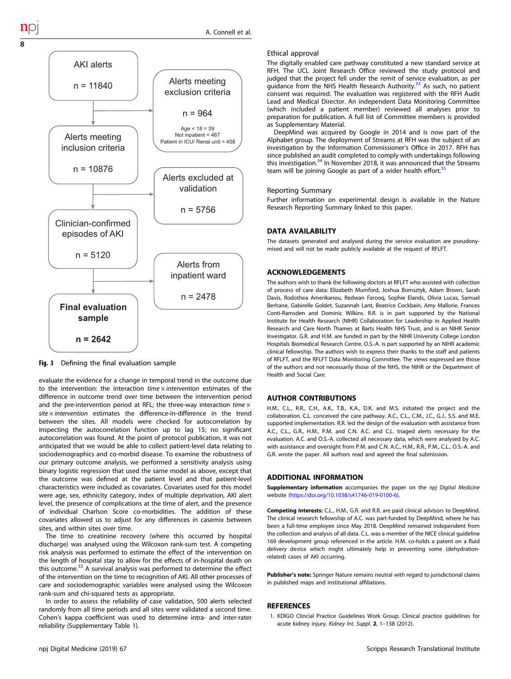<span id="page-7-0"></span>

Fig. 3 Defining the final evaluation sample

evaluate the evidence for a change in temporal trend in the outcome due to the intervention: the interaction  $time \times intervention$  estimates of the difference in outcome trend over time between the intervention period and the pre-intervention period at RFL; the three-way interaction time  $\times$ site  $\times$  intervention estimates the difference-in-difference in the trend between the sites. All models were checked for autocorrelation by inspecting the autocorrelation function up to lag 15; no significant autocorrelation was found. At the point of protocol publication, it was not anticipated that we would be able to collect patient-level data relating to sociodemographics and co-morbid disease. To examine the robustness of our primary outcome analysis, we performed a sensitivity analysis using binary logistic regression that used the same model as above, except that the outcome was defined at the patient level and that patient-level characteristics were included as covariates. Covariates used for this model were age, sex, ethnicity category, index of multiple deprivation, AKI alert level, the presence of complications at the time of alert, and the presence of individual Charlson Score co-morbidities. The addition of these covariates allowed us to adjust for any differences in casemix between sites, and within sites over time.

The time to creatinine recovery (where this occurred by hospital discharge) was analysed using the Wilcoxon rank-sum test. A competing risk analysis was performed to estimate the effect of the intervention on the length of hospital stay to allow for the effects of in-hospital death on this outcome. $32$  A survival analysis was performed to determine the effect of the intervention on the time to recognition of AKI. All other processes of care and sociodemographic variables were analysed using the Wilcoxon rank-sum and chi-squared tests as appropriate.

In order to assess the reliability of case validation, 500 alerts selected randomly from all time periods and all sites were validated a second time. Cohen's kappa coefficient was used to determine intra- and inter-rater reliability (Supplementary Table 1).

#### Ethical approval

The digitally enabled care pathway constituted a new standard service at RFH. The UCL Joint Research Office reviewed the study protocol and judged that the project fell under the remit of service evaluation, as per guidance from the NHS Health Research Authority.<sup>[33](#page-8-0)</sup> As such, no patient consent was required. The evaluation was registered with the RFH Audit Lead and Medical Director. An independent Data Monitoring Committee (which included a patient member) reviewed all analyses prior to preparation for publication. A full list of Committee members is provided as Supplementary Material.

DeepMind was acquired by Google in 2014 and is now part of the Alphabet group. The deployment of Streams at RFH was the subject of an investigation by the Information Commissioner's Office in 2017. RFH has since published an audit completed to comply with undertakings following this investigation.<sup>[34](#page-8-0)</sup> In November 2018, it was announced that the Streams team will be joining Google as part of a wider health effort.<sup>3</sup>

#### Reporting Summary

Further information on experimental design is available in the Nature Research Reporting Summary linked to this paper.

#### DATA AVAILABILITY

The datasets generated and analysed during the service evaluation are pseudonymised and will not be made publicly available at the request of RFLFT.

# ACKNOWLEDGEMENTS

The authors wish to thank the following doctors at RFLFT who assisted with collection of process of care data: Elizabeth Mumford, Joshua Bomsztyk, Adam Brown, Sarah Davis, Rodothea Amerikanou, Redwan Farooq, Sophie Elands, Olivia Lucas, Samuel Berhane, Gabirelle Goldet, Suzannah Lant, Beatrice Cockbain, Amy Mallorie, Frances Conti-Ramsden and Dominic Wilkins. R.R. is in part supported by the National Institute for Health Research (NIHR) Collaboration for Leadership in Applied Health Research and Care North Thames at Barts Health NHS Trust, and is an NIHR Senior Investigator. G.R. and H.M. are funded in part by the NIHR University College London Hospitals Biomedical Research Centre. O.S.-A. is part supported by an NIHR academic clinical fellowship. The authors wish to express their thanks to the staff and patients of RFLFT, and the RFLFT Data Monitoring Committee. The views expressed are those of the authors and not necessarily those of the NHS, the NIHR or the Department of Health and Social Care.

### AUTHOR CONTRIBUTIONS

H.M., C.L., R.R., C.H., A.K., T.B., K.A., D.K. and M.S. initiated the project and the collaboration. C.L. conceived the care pathway. A.C., C.L., C.M., J.C., G.J., S.S. and M.E. supported implementation. R.R. led the design of the evaluation with assistance from A.C., C.L., G.R., H.M., P.M. and C.N. A.C. and C.L. triaged alerts necessary for the evaluation. A.C. and O.S.-A. collected all necessary data, which were analysed by A.C. with assistance and oversight from P.M. and C.N. A.C., H.M., R.R., P.M., C.L., O.S.-A. and G.R. wrote the paper. All authors read and agreed the final submission.

#### ADDITIONAL INFORMATION

Supplementary information accompanies the paper on the npj Digital Medicine website [\(https://doi.org/10.1038/s41746-019-0100-6\)](https://doi.org/10.1038/s41746-019-0100-6).

Competing interests: C.L., H.M., G.R. and R.R. are paid clinical advisors to DeepMind. The clinical research fellowship of A.C. was part-funded by DeepMind, where he has been a full-time employee since May 2018. DeepMind remained independent from the collection and analysis of all data. C.L. was a member of the NICE clinical guideline 169 development group referenced in the article. H.M. co-holds a patent on a fluid delivery device which might ultimately help in preventing some (dehydrationrelated) cases of AKI occurring.

Publisher's note: Springer Nature remains neutral with regard to jurisdictional claims in published maps and institutional affiliations.

#### REFERENCES

1. KDIGO Clincial Practice Guidelines Work Group. Clinical practice guidelines for acute kidney injury. Kidney Int. Suppl. 2, 1–138 (2012).